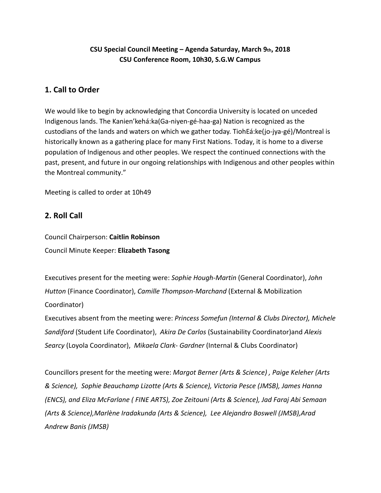# **CSU Special Council Meeting – Agenda Saturday, March 9th, 2018 CSU Conference Room, 10h30, S.G.W Campus**

# **1. Call to Order**

We would like to begin by acknowledging that Concordia University is located on unceded Indigenous lands. The Kanien'kehá:ka(Ga-niyen-gé-haa-ga) Nation is recognized as the custodians of the lands and waters on which we gather today. TiohEá:ke(jo-jya-gé)/Montreal is historically known as a gathering place for many First Nations. Today, it is home to a diverse population of Indigenous and other peoples. We respect the continued connections with the past, present, and future in our ongoing relationships with Indigenous and other peoples within the Montreal community."

Meeting is called to order at 10h49

# **2. Roll Call**

Council Chairperson: **Caitlin Robinson** Council Minute Keeper: **Elizabeth Tasong**

Executives present for the meeting were: *Sophie Hough-Martin* (General Coordinator), *John Hutton* (Finance Coordinator), *Camille Thompson-Marchand* (External & Mobilization Coordinator)

Executives absent from the meeting were: *Princess Somefun (Internal & Clubs Director), Michele Sandiford* (Student Life Coordinator), *Akira De Carlos* (Sustainability Coordinator)and *Alexis Searcy* (Loyola Coordinator), *Mikaela Clark- Gardner* (Internal & Clubs Coordinator)

Councillors present for the meeting were: *Margot Berner (Arts & Science) , Paige Keleher (Arts & Science), Sophie Beauchamp Lizotte (Arts & Science), Victoria Pesce (JMSB), James Hanna (ENCS), and Eliza McFarlane ( FINE ARTS), Zoe Zeitouni (Arts & Science), Jad Faraj Abi Semaan (Arts & Science),Marlène Iradakunda (Arts & Science), Lee Alejandro Boswell (JMSB),Arad Andrew Banis (JMSB)*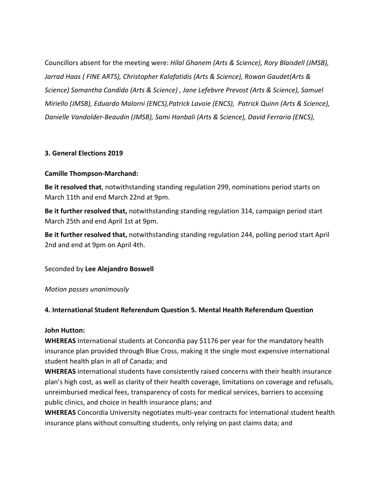Councillors absent for the meeting were: *Hilal Ghanem (Arts & Science), Rory Blaisdell (JMSB), Jarrad Haas ( FINE ARTS), Christopher Kalafatidis (Arts & Science), Rowan Gaudet(Arts & Science) Samantha Candido (Arts & Science) , Jane Lefebvre Prevost (Arts & Science), Samuel Miriello (JMSB), Eduardo Malorni (ENCS),Patrick Lavoie (ENCS), Patrick Quinn (Arts & Science), Danielle Vandolder-Beaudin (JMSB), Sami Hanbali (Arts & Science), David Ferraria (ENCS),*

#### **3. General Elections 2019**

#### **Camille Thompson-Marchand:**

**Be it resolved that**, notwithstanding standing regulation 299, nominations period starts on March 11th and end March 22nd at 9pm.

**Be it further resolved that,** notwithstanding standing regulation 314, campaign period start March 25th and end April 1st at 9pm.

**Be it further resolved that,** notwithstanding standing regulation 244, polling period start April 2nd and end at 9pm on April 4th.

Seconded by **Lee Alejandro Boswell**

*Motion passes unanimously*

## **4. International Student Referendum Question 5. Mental Health Referendum Question**

#### **John Hutton:**

**WHEREAS** International students at Concordia pay \$1176 per year for the mandatory health insurance plan provided through Blue Cross, making it the single most expensive international student health plan in all of Canada; and

**WHEREAS** international students have consistently raised concerns with their health insurance plan's high cost, as well as clarity of their health coverage, limitations on coverage and refusals, unreimbursed medical fees, transparency of costs for medical services, barriers to accessing public clinics, and choice in health insurance plans; and

**WHEREAS** Concordia University negotiates multi-year contracts for international student health insurance plans without consulting students, only relying on past claims data; and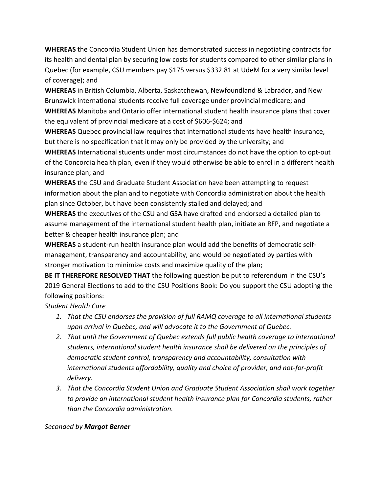**WHEREAS** the Concordia Student Union has demonstrated success in negotiating contracts for its health and dental plan by securing low costs for students compared to other similar plans in Quebec (for example, CSU members pay \$175 versus \$332.81 at UdeM for a very similar level of coverage); and

**WHEREAS** in British Columbia, Alberta, Saskatchewan, Newfoundland & Labrador, and New Brunswick international students receive full coverage under provincial medicare; and **WHEREAS** Manitoba and Ontario offer international student health insurance plans that cover the equivalent of provincial medicare at a cost of \$606-\$624; and

**WHEREAS** Quebec provincial law requires that international students have health insurance, but there is no specification that it may only be provided by the university; and

**WHEREAS** International students under most circumstances do not have the option to opt-out of the Concordia health plan, even if they would otherwise be able to enrol in a different health insurance plan; and

**WHEREAS** the CSU and Graduate Student Association have been attempting to request information about the plan and to negotiate with Concordia administration about the health plan since October, but have been consistently stalled and delayed; and

**WHEREAS** the executives of the CSU and GSA have drafted and endorsed a detailed plan to assume management of the international student health plan, initiate an RFP, and negotiate a better & cheaper health insurance plan; and

**WHEREAS** a student-run health insurance plan would add the benefits of democratic selfmanagement, transparency and accountability, and would be negotiated by parties with stronger motivation to minimize costs and maximize quality of the plan;

**BE IT THEREFORE RESOLVED THAT** the following question be put to referendum in the CSU's 2019 General Elections to add to the CSU Positions Book: Do you support the CSU adopting the following positions:

## *Student Health Care*

- *1. That the CSU endorses the provision of full RAMQ coverage to all international students upon arrival in Quebec, and will advocate it to the Government of Quebec.*
- *2. That until the Government of Quebec extends full public health coverage to international students, international student health insurance shall be delivered on the principles of democratic student control, transparency and accountability, consultation with international students affordability, quality and choice of provider, and not-for-profit delivery.*
- *3. That the Concordia Student Union and Graduate Student Association shall work together to provide an international student health insurance plan for Concordia students, rather than the Concordia administration.*

## *Seconded by Margot Berner*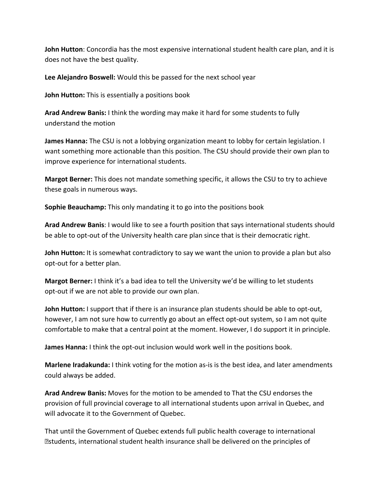**John Hutton**: Concordia has the most expensive international student health care plan, and it is does not have the best quality.

**Lee Alejandro Boswell:** Would this be passed for the next school year

**John Hutton:** This is essentially a positions book

**Arad Andrew Banis:** I think the wording may make it hard for some students to fully understand the motion

**James Hanna:** The CSU is not a lobbying organization meant to lobby for certain legislation. I want something more actionable than this position. The CSU should provide their own plan to improve experience for international students.

**Margot Berner:** This does not mandate something specific, it allows the CSU to try to achieve these goals in numerous ways.

**Sophie Beauchamp:** This only mandating it to go into the positions book

**Arad Andrew Banis**: I would like to see a fourth position that says international students should be able to opt-out of the University health care plan since that is their democratic right.

**John Hutton:** It is somewhat contradictory to say we want the union to provide a plan but also opt-out for a better plan.

**Margot Berner:** I think it's a bad idea to tell the University we'd be willing to let students opt-out if we are not able to provide our own plan.

**John Hutton:** I support that if there is an insurance plan students should be able to opt-out, however, I am not sure how to currently go about an effect opt-out system, so I am not quite comfortable to make that a central point at the moment. However, I do support it in principle.

**James Hanna:** I think the opt-out inclusion would work well in the positions book.

**Marlene Iradakunda:** I think voting for the motion as-is is the best idea, and later amendments could always be added.

**Arad Andrew Banis:** Moves for the motion to be amended to That the CSU endorses the provision of full provincial coverage to all international students upon arrival in Quebec, and will advocate it to the Government of Quebec.

That until the Government of Quebec extends full public health coverage to international **Distudents, international student health insurance shall be delivered on the principles of**